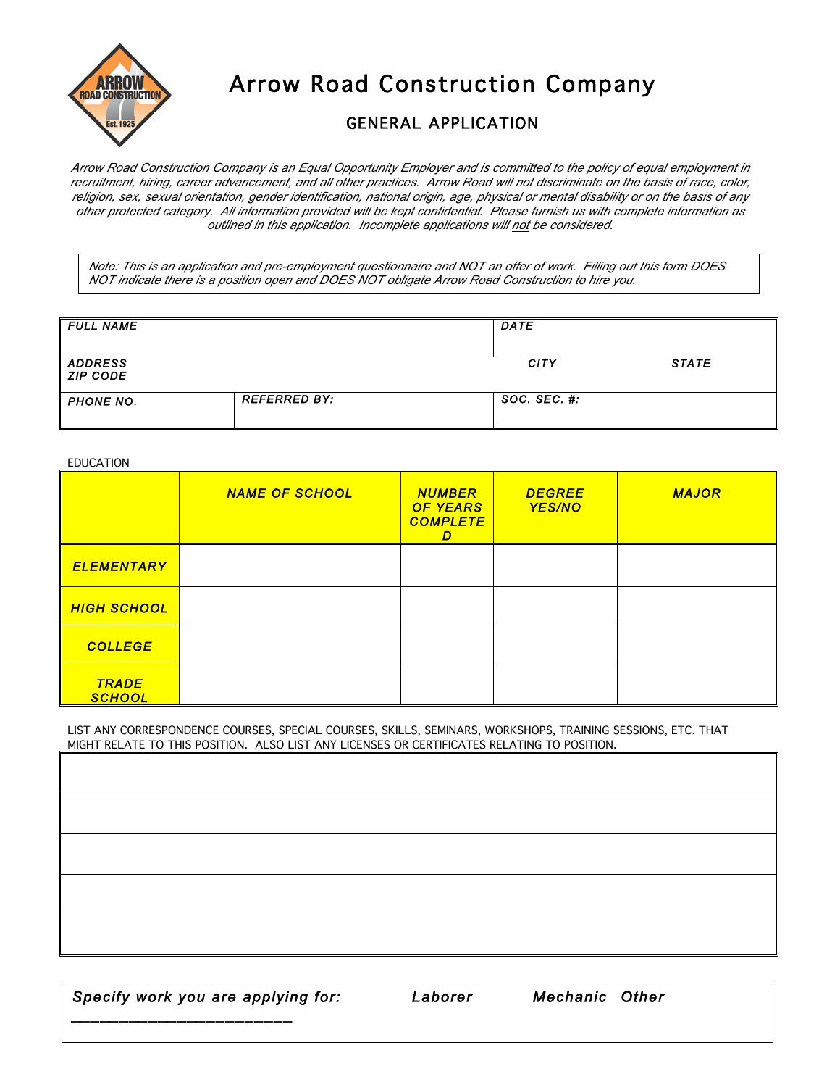

Arrow Road Construction Company

## GENERAL APPLICATION

*Arrow Road Construction Company is an Equal Opportunity Employer and is committed to the policy of equal employment in recruitment, hiring, career advancement, and all other practices. Arrow Road will not discriminate on the basis of race, color, religion, sex, sexual orientation, gender identification, national origin, age, physical or mental disability or on the basis of any other protected category. All information provided will be kept confidential. Please furnish us with complete information as outlined in this application. Incomplete applications will not be considered.*

*Note: This is an application and pre-employment questionnaire and NOT an offer of work. Filling out this form DOES NOT indicate there is a position open and DOES NOT obligate Arrow Road Construction to hire you.*

| <b>FULL NAME</b>                  |                     | <b>DATE</b>         |              |
|-----------------------------------|---------------------|---------------------|--------------|
| <b>ADDRESS</b><br><b>ZIP CODE</b> |                     | <b>CITY</b>         | <b>STATE</b> |
| <b>PHONE NO.</b>                  | <b>REFERRED BY:</b> | $SOC.$ $SEC.$ $#$ : |              |

EDUCATION

|                               | <b>NAME OF SCHOOL</b> | <b>NUMBER</b><br><b>OF YEARS</b><br><b>COMPLETE</b><br>D | <b>DEGREE</b><br><b>YES/NO</b> | <b>MAJOR</b> |
|-------------------------------|-----------------------|----------------------------------------------------------|--------------------------------|--------------|
| <b>ELEMENTARY</b>             |                       |                                                          |                                |              |
| <b>HIGH SCHOOL</b>            |                       |                                                          |                                |              |
| <b>COLLEGE</b>                |                       |                                                          |                                |              |
| <b>TRADE</b><br><b>SCHOOL</b> |                       |                                                          |                                |              |

LIST ANY CORRESPONDENCE COURSES, SPECIAL COURSES, SKILLS, SEMINARS, WORKSHOPS, TRAINING SESSIONS, ETC. THAT MIGHT RELATE TO THIS POSITION. ALSO LIST ANY LICENSES OR CERTIFICATES RELATING TO POSITION.

*Specify work you are applying for: Laborer Mechanic Other* 

*\_\_\_\_\_\_\_\_\_\_\_\_\_\_\_\_\_\_\_\_\_\_\_* 

*NOTE: All Engineer Operators are hired through the Union hiring hall.*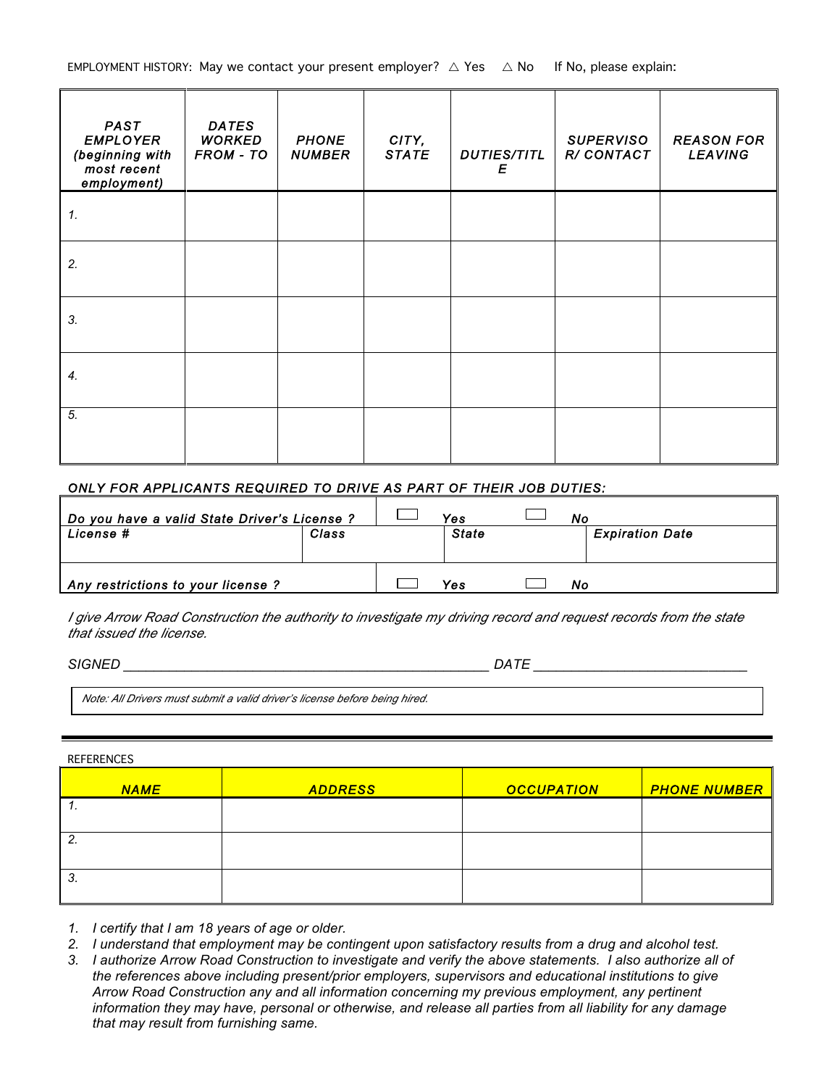| <b>PAST</b><br><b>EMPLOYER</b><br>(beginning with<br>most recent<br>employment) | <b>DATES</b><br><b>WORKED</b><br>FROM - TO | <b>PHONE</b><br><b>NUMBER</b> | CITY,<br><b>STATE</b> | <b>DUTIES/TITL</b><br>Ε | <b>SUPERVISO</b><br>R/CONTACT | <b>REASON FOR</b><br><b>LEAVING</b> |
|---------------------------------------------------------------------------------|--------------------------------------------|-------------------------------|-----------------------|-------------------------|-------------------------------|-------------------------------------|
| 1.                                                                              |                                            |                               |                       |                         |                               |                                     |
| 2.                                                                              |                                            |                               |                       |                         |                               |                                     |
| 3.                                                                              |                                            |                               |                       |                         |                               |                                     |
| 4.                                                                              |                                            |                               |                       |                         |                               |                                     |
| 5.                                                                              |                                            |                               |                       |                         |                               |                                     |

## *ONLY FOR APPLICANTS REQUIRED TO DRIVE AS PART OF THEIR JOB DUTIES:*

| Do you have a valid State Driver's License ? | Yes   | Nο           |                        |
|----------------------------------------------|-------|--------------|------------------------|
| License #                                    | Class | <b>State</b> | <b>Expiration Date</b> |
|                                              |       |              |                        |
| Any restrictions to your license ?           |       | Yes          | Νo                     |

*I give Arrow Road Construction the authority to investigate my driving record and request records from the state that issued the license.*

*SIGNED \_\_\_\_\_\_\_\_\_\_\_\_\_\_\_\_\_\_\_\_\_\_\_\_\_\_\_\_\_\_\_\_\_\_\_\_\_\_\_\_\_\_\_\_\_\_\_\_ DATE \_\_\_\_\_\_\_\_\_\_\_\_\_\_\_\_\_\_\_\_\_\_\_\_\_\_\_\_*

*Note: All Drivers must submit a valid driver's license before being hired.* 

## REFERENCES

| <b>NAME</b> | <b>ADDRESS</b> | <b>OCCUPATION</b> | <b>PHONE NUMBER</b> |
|-------------|----------------|-------------------|---------------------|
|             |                |                   |                     |
| L .         |                |                   |                     |
| .ت          |                |                   |                     |

*1. I certify that I am 18 years of age or older.*

- *2. I understand that employment may be contingent upon satisfactory results from a drug and alcohol test.*
- *3. I authorize Arrow Road Construction to investigate and verify the above statements. I also authorize all of the references above including present/prior employers, supervisors and educational institutions to give Arrow Road Construction any and all information concerning my previous employment, any pertinent information they may have, personal or otherwise, and release all parties from all liability for any damage that may result from furnishing same.*